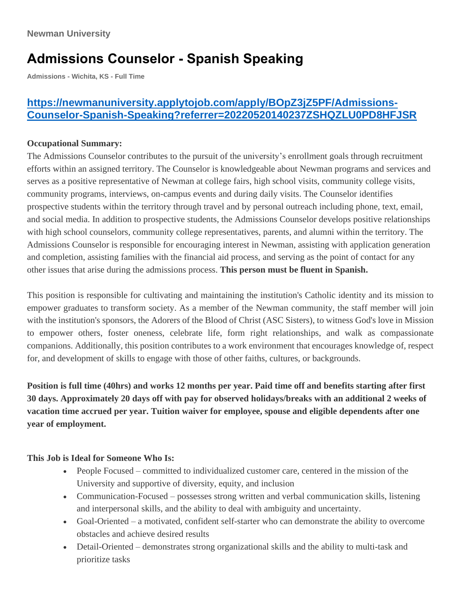# **Admissions Counselor - Spanish Speaking**

**Admissions - Wichita, KS - Full Time**

## **[https://newmanuniversity.applytojob.com/apply/BOpZ3jZ5PF/Admissions-](https://newmanuniversity.applytojob.com/apply/BOpZ3jZ5PF/Admissions-Counselor-Spanish-Speaking?referrer=20220520140237ZSHQZLU0PD8HFJSR)[Counselor-Spanish-Speaking?referrer=20220520140237ZSHQZLU0PD8HFJSR](https://newmanuniversity.applytojob.com/apply/BOpZ3jZ5PF/Admissions-Counselor-Spanish-Speaking?referrer=20220520140237ZSHQZLU0PD8HFJSR)**

#### **Occupational Summary:**

The Admissions Counselor contributes to the pursuit of the university's enrollment goals through recruitment efforts within an assigned territory. The Counselor is knowledgeable about Newman programs and services and serves as a positive representative of Newman at college fairs, high school visits, community college visits, community programs, interviews, on-campus events and during daily visits. The Counselor identifies prospective students within the territory through travel and by personal outreach including phone, text, email, and social media. In addition to prospective students, the Admissions Counselor develops positive relationships with high school counselors, community college representatives, parents, and alumni within the territory. The Admissions Counselor is responsible for encouraging interest in Newman, assisting with application generation and completion, assisting families with the financial aid process, and serving as the point of contact for any other issues that arise during the admissions process. **This person must be fluent in Spanish.**

This position is responsible for cultivating and maintaining the institution's Catholic identity and its mission to empower graduates to transform society. As a member of the Newman community, the staff member will join with the institution's sponsors, the Adorers of the Blood of Christ (ASC Sisters), to witness God's love in Mission to empower others, foster oneness, celebrate life, form right relationships, and walk as compassionate companions. Additionally, this position contributes to a work environment that encourages knowledge of, respect for, and development of skills to engage with those of other faiths, cultures, or backgrounds.

Position is full time (40hrs) and works 12 months per year. Paid time off and benefits starting after first **30 days. Approximately 20 days off with pay for observed holidays/breaks with an additional 2 weeks of vacation time accrued per year. Tuition waiver for employee, spouse and eligible dependents after one year of employment.**

### **This Job is Ideal for Someone Who Is:**

- People Focused committed to individualized customer care, centered in the mission of the University and supportive of diversity, equity, and inclusion
- Communication-Focused possesses strong written and verbal communication skills, listening and interpersonal skills, and the ability to deal with ambiguity and uncertainty.
- Goal-Oriented a motivated, confident self-starter who can demonstrate the ability to overcome obstacles and achieve desired results
- Detail-Oriented demonstrates strong organizational skills and the ability to multi-task and prioritize tasks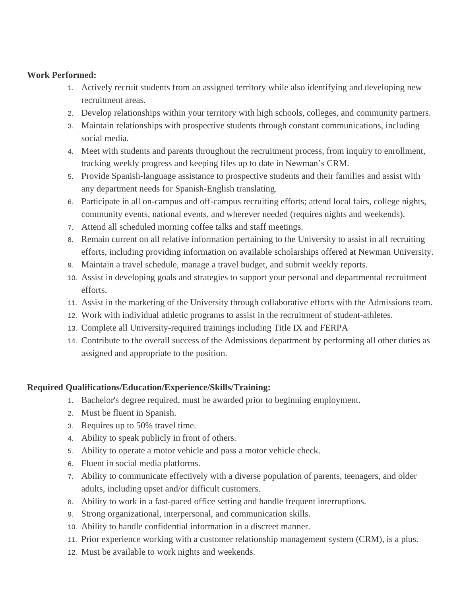#### **Work Performed:**

- 1. Actively recruit students from an assigned territory while also identifying and developing new recruitment areas.
- 2. Develop relationships within your territory with high schools, colleges, and community partners.
- 3. Maintain relationships with prospective students through constant communications, including social media.
- 4. Meet with students and parents throughout the recruitment process, from inquiry to enrollment, tracking weekly progress and keeping files up to date in Newman's CRM.
- 5. Provide Spanish-language assistance to prospective students and their families and assist with any department needs for Spanish-English translating.
- 6. Participate in all on-campus and off-campus recruiting efforts; attend local fairs, college nights, community events, national events, and wherever needed (requires nights and weekends).
- 7. Attend all scheduled morning coffee talks and staff meetings.
- 8. Remain current on all relative information pertaining to the University to assist in all recruiting efforts, including providing information on available scholarships offered at Newman University.
- 9. Maintain a travel schedule, manage a travel budget, and submit weekly reports.
- 10. Assist in developing goals and strategies to support your personal and departmental recruitment efforts.
- 11. Assist in the marketing of the University through collaborative efforts with the Admissions team.
- 12. Work with individual athletic programs to assist in the recruitment of student-athletes.
- 13. Complete all University-required trainings including Title IX and FERPA
- 14. Contribute to the overall success of the Admissions department by performing all other duties as assigned and appropriate to the position.

#### **Required Qualifications/Education/Experience/Skills/Training:**

- 1. Bachelor's degree required, must be awarded prior to beginning employment.
- 2. Must be fluent in Spanish.
- 3. Requires up to 50% travel time.
- 4. Ability to speak publicly in front of others.
- 5. Ability to operate a motor vehicle and pass a motor vehicle check.
- 6. Fluent in social media platforms.
- 7. Ability to communicate effectively with a diverse population of parents, teenagers, and older adults, including upset and/or difficult customers.
- 8. Ability to work in a fast-paced office setting and handle frequent interruptions.
- 9. Strong organizational, interpersonal, and communication skills.
- 10. Ability to handle confidential information in a discreet manner.
- 11. Prior experience working with a customer relationship management system (CRM), is a plus.
- 12. Must be available to work nights and weekends.